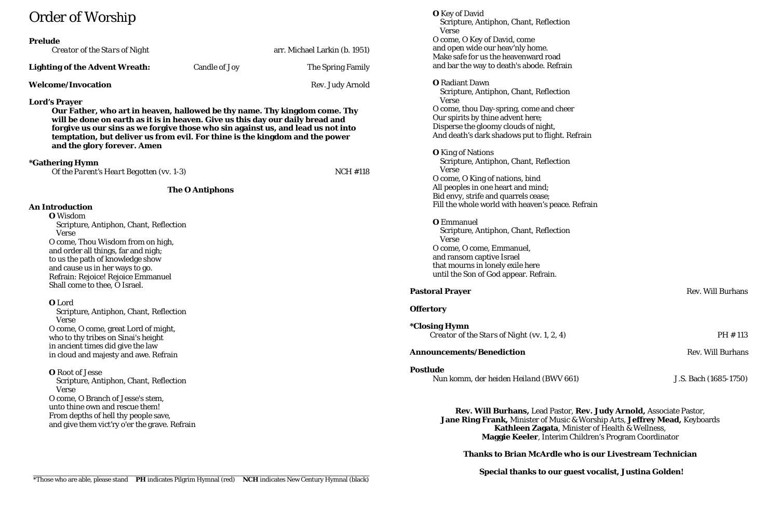# Order of Worship

| <b>Prelude</b><br>Creator of the Stars of Night |               | arr. Michael Larkin (b. 1951) |
|-------------------------------------------------|---------------|-------------------------------|
| <b>Lighting of the Advent Wreath:</b>           | Candle of Joy | The Spring Family             |
| <b>Welcome/Invocation</b>                       |               | <b>Rev. Judy Arnold</b>       |

### **Lord's Prayer**

**Our Father, who art in heaven, hallowed be thy name. Thy kingdom come. Thy will be done on earth as it is in heaven. Give us this day our daily bread and forgive us our sins as we forgive those who sin against us, and lead us not into temptation, but deliver us from evil. For thine is the kingdom and the power and the glory forever. Amen**

### **\*Gathering Hymn**

| Of the Parent's Heart Begotten (vv. 1-3) | <b>NCH #118</b> |
|------------------------------------------|-----------------|
|                                          |                 |

### **The O Antiphons**

### **An Introduction**

**O** Wisdom Scripture, Antiphon, Chant, Reflection Verse O come, Thou Wisdom from on high, and order all things, far and nigh; to us the path of knowledge show and cause us in her ways to go. Refrain: Rejoice! Rejoice Emmanuel Shall come to thee, O Israel.

### **O** Lord

 Scripture, Antiphon, Chant, Reflection Verse O come, O come, great Lord of might, who to thy tribes on Sinai's height in ancient times did give the law in cloud and majesty and awe. Refrain

**\*Closing Hymn** *Creator of the Stars of Night* (vv. 1, 2, 4) PH # 113

### **Announcements/Benediction** Rev. Will Burhans

**Postlude** *Nun komm, der heiden Heiland* (BWV 661) J.S. Bach (1685-1750)

**O** Root of Jesse Scripture, Antiphon, Chant, Reflection Verse O come, O Branch of Jesse's stem, unto thine own and rescue them! From depths of hell thy people save, and give them vict'ry o'er the grave. Refrain

**O** Key of David Scripture, Antiphon, Chant, Reflection Verse O come, O Key of David, come and open wide our heav'nly home. Make safe for us the heavenward road and bar the way to death's abode. Refrain **O** Radiant Dawn Scripture, Antiphon, Chant, Reflection Verse O come, thou Day-spring, come and cheer Our spirits by thine advent here; Disperse the gloomy clouds of night, And death's dark shadows put to flight. Refrain **O** King of Nations Scripture, Antiphon, Chant, Reflection Verse O come, O King of nations, bind All peoples in one heart and mind; Bid envy, strife and quarrels cease; Fill the whole world with heaven's peace. Refrain

### **O** Emmanuel Scripture, Antiphon, Chant, Reflection Verse O come, O come, Emmanuel, and ransom captive Israel that mourns in lonely exile here until the Son of God appear. Refrain.

### **Offertory**

**Rev. Will Burhans,** Lead Pastor, **Rev. Judy Arnold,** Associate Pastor, **Jane Ring Frank,** Minister of Music & Worship Arts, **Jeffrey Mead,** Keyboards **Kathleen Zagata**, Minister of Health & Wellness, **Maggie Keeler**, Interim Children's Program Coordinator

**Thanks to Brian McArdle who is our Livestream Technician**

\_\_\_\_\_\_\_\_\_\_\_\_\_\_\_\_\_\_\_\_\_\_\_\_\_\_\_\_\_\_\_\_\_\_\_\_\_\_\_\_\_\_\_\_\_\_\_\_\_\_\_\_\_\_\_\_\_\_\_\_\_\_\_\_\_\_\_\_\_\_\_\_\_\_\_\_\_\_\_\_\_\_\_\_\_\_\_\_\_\_\_\_\_\_\_ **Special thanks to our guest vocalist, Justina Golden!**

**Pastoral Prayer** Rev. Will Burhans